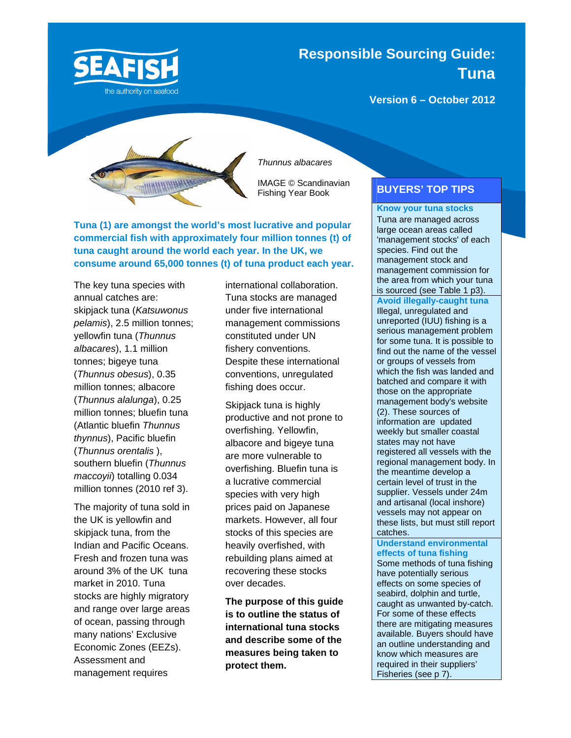

**Responsible Sourcing Guide: Tuna**

**Version 6 – October 2012** 



*Thunnus albacares* 

IMAGE © Scandinavian Fishing Year Book

**Tuna (1) are amongst the world's most lucrative and popular commercial fish with approximately four million tonnes (t) of tuna caught around the world each year. In the UK, we consume around 65,000 tonnes (t) of tuna product each year.**

The key tuna species with annual catches are: skipjack tuna (*Katsuwonus pelamis*), 2.5 million tonnes; yellowfin tuna (*Thunnus albacares*), 1.1 million tonnes; bigeye tuna (*Thunnus obesus*), 0.35 million tonnes; albacore (*Thunnus alalunga*), 0.25 million tonnes; bluefin tuna (Atlantic bluefin *Thunnus thynnus*), Pacific bluefin (*Thunnus orentalis* ), southern bluefin (*Thunnus maccoyii*) totalling 0.034 million tonnes (2010 ref 3).

The majority of tuna sold in the UK is yellowfin and skipjack tuna, from the Indian and Pacific Oceans. Fresh and frozen tuna was around 3% of the UK tuna market in 2010. Tuna stocks are highly migratory and range over large areas of ocean, passing through many nations' Exclusive Economic Zones (EEZs). Assessment and management requires

international collaboration. Tuna stocks are managed under five international management commissions constituted under UN fishery conventions. Despite these international conventions, unregulated fishing does occur.

Skipjack tuna is highly productive and not prone to overfishing. Yellowfin, albacore and bigeye tuna are more vulnerable to overfishing. Bluefin tuna is a lucrative commercial species with very high prices paid on Japanese markets. However, all four stocks of this species are heavily overfished, with rebuilding plans aimed at recovering these stocks over decades.

**The purpose of this guide is to outline the status of international tuna stocks and describe some of the measures being taken to protect them.** 

## **BUYERS' TOP TIPS**

**Know your tuna stocks** Tuna are managed across large ocean areas called 'management stocks' of each species. Find out the management stock and management commission for the area from which your tuna is sourced (see Table 1 p3). **Avoid illegally-caught tuna** Illegal, unregulated and unreported (IUU) fishing is a serious management problem for some tuna. It is possible to find out the name of the vessel or groups of vessels from which the fish was landed and batched and compare it with those on the appropriate management body's website (2). These sources of information are updated weekly but smaller coastal states may not have registered all vessels with the regional management body. In the meantime develop a certain level of trust in the supplier. Vessels under 24m and artisanal (local inshore) vessels may not appear on these lists, but must still report catches.

**Understand environmental effects of tuna fishing** Some methods of tuna fishing have potentially serious effects on some species of seabird, dolphin and turtle, caught as unwanted by-catch. For some of these effects there are mitigating measures available. Buyers should have an outline understanding and know which measures are required in their suppliers' Fisheries (see p 7).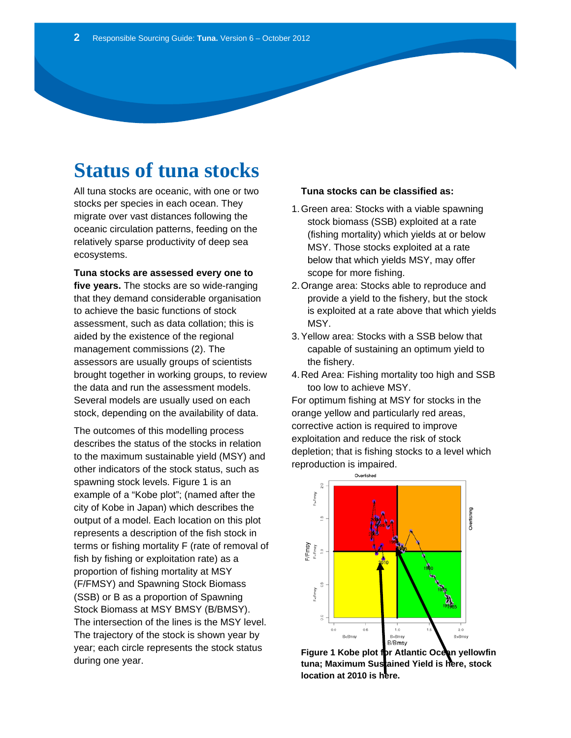# **Status of tuna stocks**

All tuna stocks are oceanic, with one or two stocks per species in each ocean. They migrate over vast distances following the oceanic circulation patterns, feeding on the relatively sparse productivity of deep sea ecosystems.

**Tuna stocks are assessed every one to five years.** The stocks are so wide-ranging that they demand considerable organisation to achieve the basic functions of stock assessment, such as data collation; this is aided by the existence of the regional management commissions (2). The assessors are usually groups of scientists brought together in working groups, to review the data and run the assessment models. Several models are usually used on each stock, depending on the availability of data.

The outcomes of this modelling process describes the status of the stocks in relation to the maximum sustainable yield (MSY) and other indicators of the stock status, such as spawning stock levels. Figure 1 is an example of a "Kobe plot"; (named after the city of Kobe in Japan) which describes the output of a model. Each location on this plot represents a description of the fish stock in terms or fishing mortality F (rate of removal of fish by fishing or exploitation rate) as a proportion of fishing mortality at MSY (F/FMSY) and Spawning Stock Biomass (SSB) or B as a proportion of Spawning Stock Biomass at MSY BMSY (B/BMSY). The intersection of the lines is the MSY level. The trajectory of the stock is shown year by year; each circle represents the stock status during one year.

### **Tuna stocks can be classified as:**

- 1. Green area: Stocks with a viable spawning stock biomass (SSB) exploited at a rate (fishing mortality) which yields at or below MSY. Those stocks exploited at a rate below that which yields MSY, may offer scope for more fishing.
- 2. Orange area: Stocks able to reproduce and provide a yield to the fishery, but the stock is exploited at a rate above that which yields MSY.
- 3. Yellow area: Stocks with a SSB below that capable of sustaining an optimum yield to the fishery.
- 4. Red Area: Fishing mortality too high and SSB too low to achieve MSY.

For optimum fishing at MSY for stocks in the orange yellow and particularly red areas, corrective action is required to improve exploitation and reduce the risk of stock depletion; that is fishing stocks to a level which reproduction is impaired.



Figure 1 Kobe plot for Atlantic Ocean yellowfin **tuna; Maximum Sustained Yield is here, stock location at 2010 is here.**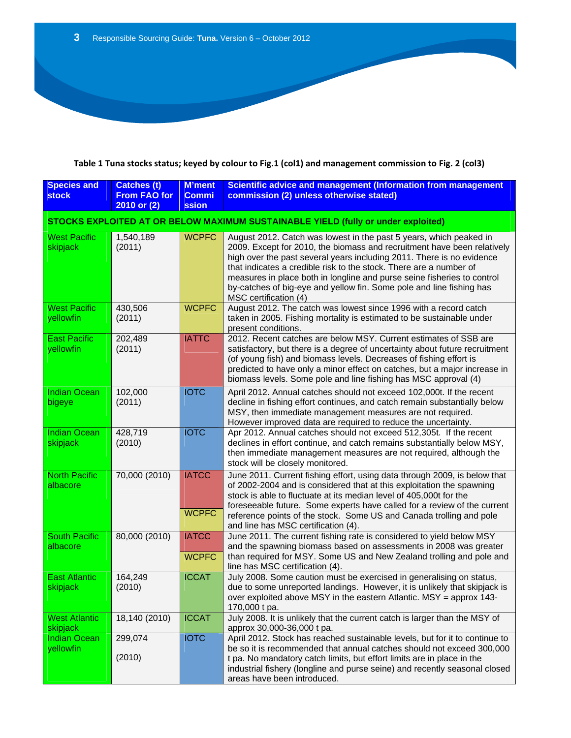## Table 1 Tuna stocks status; keyed by colour to Fig.1 (col1) and management commission to Fig. 2 (col3)

| <b>Species and</b><br><b>stock</b>                                                | <b>Catches (t)</b><br><b>From FAO for</b><br>2010 or (2) | <b>M'ment</b><br><b>Commi</b><br><b>ssion</b> | Scientific advice and management (Information from management<br>commission (2) unless otherwise stated)                                                                                                                                                                                                                                                                                                                                                                 |  |
|-----------------------------------------------------------------------------------|----------------------------------------------------------|-----------------------------------------------|--------------------------------------------------------------------------------------------------------------------------------------------------------------------------------------------------------------------------------------------------------------------------------------------------------------------------------------------------------------------------------------------------------------------------------------------------------------------------|--|
| STOCKS EXPLOITED AT OR BELOW MAXIMUM SUSTAINABLE YIELD (fully or under exploited) |                                                          |                                               |                                                                                                                                                                                                                                                                                                                                                                                                                                                                          |  |
| <b>West Pacific</b><br>skipjack                                                   | 1,540,189<br>(2011)                                      | <b>WCPFC</b>                                  | August 2012. Catch was lowest in the past 5 years, which peaked in<br>2009. Except for 2010, the biomass and recruitment have been relatively<br>high over the past several years including 2011. There is no evidence<br>that indicates a credible risk to the stock. There are a number of<br>measures in place both in longline and purse seine fisheries to control<br>by-catches of big-eye and yellow fin. Some pole and line fishing has<br>MSC certification (4) |  |
| <b>West Pacific</b><br>yellowfin                                                  | 430,506<br>(2011)                                        | <b>WCPFC</b>                                  | August 2012. The catch was lowest since 1996 with a record catch<br>taken in 2005. Fishing mortality is estimated to be sustainable under<br>present conditions.                                                                                                                                                                                                                                                                                                         |  |
| <b>East Pacific</b><br>yellowfin                                                  | 202,489<br>(2011)                                        | <b>IATTC</b>                                  | 2012. Recent catches are below MSY. Current estimates of SSB are<br>satisfactory, but there is a degree of uncertainty about future recruitment<br>(of young fish) and biomass levels. Decreases of fishing effort is<br>predicted to have only a minor effect on catches, but a major increase in<br>biomass levels. Some pole and line fishing has MSC approval (4)                                                                                                    |  |
| <b>Indian Ocean</b><br>bigeye                                                     | 102,000<br>(2011)                                        | <b>IOTC</b>                                   | April 2012. Annual catches should not exceed 102,000t. If the recent<br>decline in fishing effort continues, and catch remain substantially below<br>MSY, then immediate management measures are not required.<br>However improved data are required to reduce the uncertainty.                                                                                                                                                                                          |  |
| <b>Indian Ocean</b><br>skipjack                                                   | 428,719<br>(2010)                                        | <b>IOTC</b>                                   | Apr 2012. Annual catches should not exceed 512,305t. If the recent<br>declines in effort continue, and catch remains substantially below MSY,<br>then immediate management measures are not required, although the<br>stock will be closely monitored.                                                                                                                                                                                                                   |  |
| <b>North Pacific</b><br>albacore                                                  | 70,000 (2010)                                            | <b>IATCC</b><br><b>WCPFC</b>                  | June 2011. Current fishing effort, using data through 2009, is below that<br>of 2002-2004 and is considered that at this exploitation the spawning<br>stock is able to fluctuate at its median level of 405,000t for the<br>foreseeable future. Some experts have called for a review of the current<br>reference points of the stock. Some US and Canada trolling and pole<br>and line has MSC certification (4).                                                       |  |
| <b>South Pacific</b><br>albacore                                                  | 80,000 (2010)                                            | <b>IATCC</b><br><b>WCPFC</b>                  | June 2011. The current fishing rate is considered to yield below MSY<br>and the spawning biomass based on assessments in 2008 was greater<br>than required for MSY. Some US and New Zealand trolling and pole and<br>line has MSC certification (4).                                                                                                                                                                                                                     |  |
| <b>East Atlantic</b><br>skipjack                                                  | 164,249<br>(2010)                                        | <b>ICCAT</b>                                  | July 2008. Some caution must be exercised in generalising on status,<br>due to some unreported landings. However, it is unlikely that skipjack is<br>over exploited above MSY in the eastern Atlantic. MSY $=$ approx 143-<br>170,000 t pa.                                                                                                                                                                                                                              |  |
| <b>West Atlantic</b><br><b>skipjack</b>                                           | 18,140 (2010)                                            | <b>ICCAT</b>                                  | July 2008. It is unlikely that the current catch is larger than the MSY of<br>approx 30,000-36,000 t pa.                                                                                                                                                                                                                                                                                                                                                                 |  |
| <b>Indian Ocean</b><br><b>yellowfin</b>                                           | 299,074<br>(2010)                                        | <b>IOTC</b>                                   | April 2012. Stock has reached sustainable levels, but for it to continue to<br>be so it is recommended that annual catches should not exceed 300,000<br>t pa. No mandatory catch limits, but effort limits are in place in the<br>industrial fishery (longline and purse seine) and recently seasonal closed<br>areas have been introduced.                                                                                                                              |  |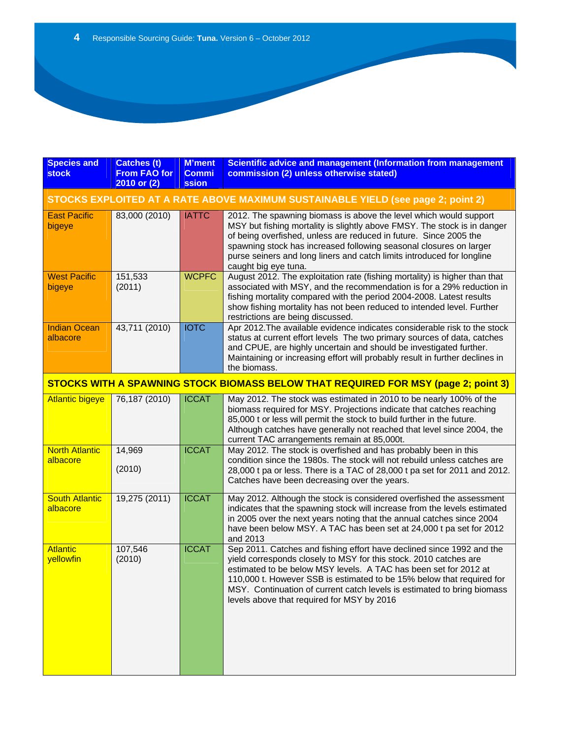| <b>Species and</b><br><b>stock</b>                                               | <b>Catches (t)</b><br><b>From FAO for</b><br>2010 or (2) | <b>M'ment</b><br><b>Commi</b><br>ssion | Scientific advice and management (Information from management<br>commission (2) unless otherwise stated)                                                                                                                                                                                                                                                                                                         |  |
|----------------------------------------------------------------------------------|----------------------------------------------------------|----------------------------------------|------------------------------------------------------------------------------------------------------------------------------------------------------------------------------------------------------------------------------------------------------------------------------------------------------------------------------------------------------------------------------------------------------------------|--|
| STOCKS EXPLOITED AT A RATE ABOVE MAXIMUM SUSTAINABLE YIELD (see page 2; point 2) |                                                          |                                        |                                                                                                                                                                                                                                                                                                                                                                                                                  |  |
| <b>East Pacific</b><br>bigeye                                                    | 83,000 (2010)                                            | <b>IATTC</b>                           | 2012. The spawning biomass is above the level which would support<br>MSY but fishing mortality is slightly above FMSY. The stock is in danger<br>of being overfished, unless are reduced in future. Since 2005 the<br>spawning stock has increased following seasonal closures on larger<br>purse seiners and long liners and catch limits introduced for longline<br>caught big eye tuna.                       |  |
| <b>West Pacific</b><br>bigeye                                                    | 151,533<br>(2011)                                        | <b>WCPFC</b>                           | August 2012. The exploitation rate (fishing mortality) is higher than that<br>associated with MSY, and the recommendation is for a 29% reduction in<br>fishing mortality compared with the period 2004-2008. Latest results<br>show fishing mortality has not been reduced to intended level. Further<br>restrictions are being discussed.                                                                       |  |
| <b>Indian Ocean</b><br>albacore                                                  | 43,711 (2010)                                            | <b>IOTC</b>                            | Apr 2012. The available evidence indicates considerable risk to the stock<br>status at current effort levels The two primary sources of data, catches<br>and CPUE, are highly uncertain and should be investigated further.<br>Maintaining or increasing effort will probably result in further declines in<br>the biomass.                                                                                      |  |
|                                                                                  |                                                          |                                        | STOCKS WITH A SPAWNING STOCK BIOMASS BELOW THAT REQUIRED FOR MSY (page 2; point 3)                                                                                                                                                                                                                                                                                                                               |  |
| <b>Atlantic bigeye</b>                                                           | 76,187 (2010)                                            | <b>ICCAT</b>                           | May 2012. The stock was estimated in 2010 to be nearly 100% of the<br>biomass required for MSY. Projections indicate that catches reaching<br>85,000 t or less will permit the stock to build further in the future.<br>Although catches have generally not reached that level since 2004, the<br>current TAC arrangements remain at 85,000t.                                                                    |  |
| <b>North Atlantic</b><br>albacore                                                | 14,969<br>(2010)                                         | <b>ICCAT</b>                           | May 2012. The stock is overfished and has probably been in this<br>condition since the 1980s. The stock will not rebuild unless catches are<br>28,000 t pa or less. There is a TAC of 28,000 t pa set for 2011 and 2012.<br>Catches have been decreasing over the years.                                                                                                                                         |  |
| <b>South Atlantic</b><br>albacore                                                | 19,275 (2011)                                            | <b>ICCAT</b>                           | May 2012. Although the stock is considered overfished the assessment<br>indicates that the spawning stock will increase from the levels estimated<br>in 2005 over the next years noting that the annual catches since 2004<br>have been below MSY. A TAC has been set at 24,000 t pa set for 2012<br>and 2013                                                                                                    |  |
| <b>Atlantic</b><br>yellowfin                                                     | 107,546<br>(2010)                                        | <b>ICCAT</b>                           | Sep 2011. Catches and fishing effort have declined since 1992 and the<br>yield corresponds closely to MSY for this stock. 2010 catches are<br>estimated to be below MSY levels. A TAC has been set for 2012 at<br>110,000 t. However SSB is estimated to be 15% below that required for<br>MSY. Continuation of current catch levels is estimated to bring biomass<br>levels above that required for MSY by 2016 |  |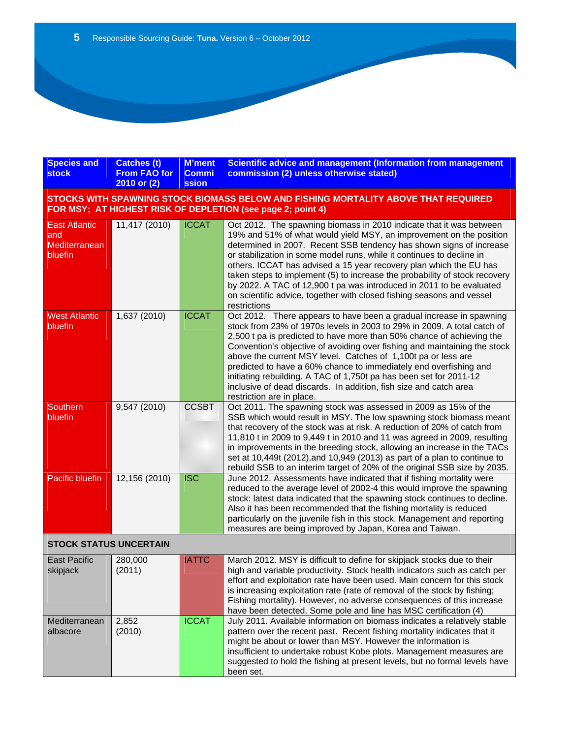| <b>Species and</b><br><b>stock</b>                      | <b>Catches (t)</b><br><b>From FAO for</b><br>2010 or (2) | <b>M'ment</b><br><b>Commi</b><br><b>ssion</b> | <b>Scientific advice and management (Information from management</b><br>commission (2) unless otherwise stated)                                                                                                                                                                                                                                                                                                                                                                                                                                                                                                    |  |
|---------------------------------------------------------|----------------------------------------------------------|-----------------------------------------------|--------------------------------------------------------------------------------------------------------------------------------------------------------------------------------------------------------------------------------------------------------------------------------------------------------------------------------------------------------------------------------------------------------------------------------------------------------------------------------------------------------------------------------------------------------------------------------------------------------------------|--|
|                                                         |                                                          |                                               | STOCKS WITH SPAWNING STOCK BIOMASS BELOW AND FISHING MORTALITY ABOVE THAT REQUIRED<br>FOR MSY; AT HIGHEST RISK OF DEPLETION (see page 2; point 4)                                                                                                                                                                                                                                                                                                                                                                                                                                                                  |  |
| <b>East Atlantic</b><br>and<br>Mediterranean<br>bluefin | 11,417 (2010)                                            | <b>ICCAT</b>                                  | Oct 2012. The spawning biomass in 2010 indicate that it was between<br>19% and 51% of what would yield MSY, an improvement on the position<br>determined in 2007. Recent SSB tendency has shown signs of increase<br>or stabilization in some model runs, while it continues to decline in<br>others. ICCAT has advised a 15 year recovery plan which the EU has<br>taken steps to implement (5) to increase the probability of stock recovery<br>by 2022. A TAC of 12,900 t pa was introduced in 2011 to be evaluated<br>on scientific advice, together with closed fishing seasons and vessel<br>restrictions    |  |
| <b>West Atlantic</b><br>bluefin                         | 1,637 (2010)                                             | <b>ICCAT</b>                                  | Oct 2012. There appears to have been a gradual increase in spawning<br>stock from 23% of 1970s levels in 2003 to 29% in 2009. A total catch of<br>2,500 t pa is predicted to have more than 50% chance of achieving the<br>Convention's objective of avoiding over fishing and maintaining the stock<br>above the current MSY level. Catches of 1,100t pa or less are<br>predicted to have a 60% chance to immediately end overfishing and<br>initiating rebuilding. A TAC of 1,750t pa has been set for 2011-12<br>inclusive of dead discards. In addition, fish size and catch area<br>restriction are in place. |  |
| Southern<br>bluefin                                     | 9,547 (2010)                                             | <b>CCSBT</b>                                  | Oct 2011. The spawning stock was assessed in 2009 as 15% of the<br>SSB which would result in MSY. The low spawning stock biomass meant<br>that recovery of the stock was at risk. A reduction of 20% of catch from<br>11,810 t in 2009 to 9,449 t in 2010 and 11 was agreed in 2009, resulting<br>in improvements in the breeding stock, allowing an increase in the TACs<br>set at 10,449t (2012), and 10,949 (2013) as part of a plan to continue to<br>rebuild SSB to an interim target of 20% of the original SSB size by 2035.                                                                                |  |
| Pacific bluefin                                         | 12,156 (2010)                                            | <b>ISC</b>                                    | June 2012. Assessments have indicated that if fishing mortality were<br>reduced to the average level of 2002-4 this would improve the spawning<br>stock: latest data indicated that the spawning stock continues to decline.<br>Also it has been recommended that the fishing mortality is reduced<br>particularly on the juvenile fish in this stock. Management and reporting<br>measures are being improved by Japan, Korea and Taiwan.                                                                                                                                                                         |  |
| <b>STOCK STATUS UNCERTAIN</b>                           |                                                          |                                               |                                                                                                                                                                                                                                                                                                                                                                                                                                                                                                                                                                                                                    |  |
| <b>East Pacific</b><br>skipjack                         | 280,000<br>(2011)                                        | <b>IATTC</b>                                  | March 2012. MSY is difficult to define for skipjack stocks due to their<br>high and variable productivity. Stock health indicators such as catch per<br>effort and exploitation rate have been used. Main concern for this stock                                                                                                                                                                                                                                                                                                                                                                                   |  |

|                           |                 |              | <u>UNUIL AND UNDIVILATION NOTES DUCH ASUA. MAIN CONCUNTION THIS SLOCK</u><br>is increasing exploitation rate (rate of removal of the stock by fishing;<br>Fishing mortality). However, no adverse consequences of this increase<br>have been detected. Some pole and line has MSC certification (4)                                                                                      |
|---------------------------|-----------------|--------------|------------------------------------------------------------------------------------------------------------------------------------------------------------------------------------------------------------------------------------------------------------------------------------------------------------------------------------------------------------------------------------------|
| Mediterranean<br>albacore | 2.852<br>(2010) | <b>ICCAT</b> | July 2011. Available information on biomass indicates a relatively stable<br>pattern over the recent past. Recent fishing mortality indicates that it<br>might be about or lower than MSY. However the information is<br>insufficient to undertake robust Kobe plots. Management measures are<br>suggested to hold the fishing at present levels, but no formal levels have<br>been set. |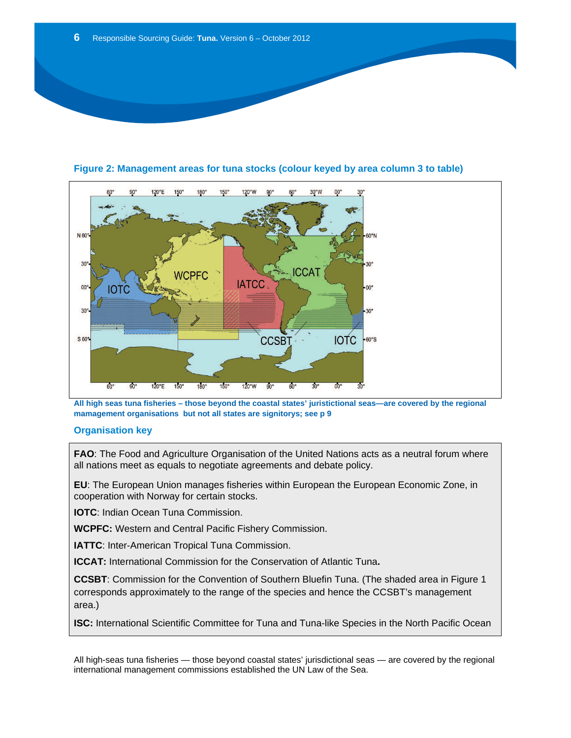

**Figure 2: Management areas for tuna stocks (colour keyed by area column 3 to table)** 

**All high seas tuna fisheries – those beyond the coastal states' juristictional seas—are covered by the regional mamagement organisations but not all states are signitorys; see p 9** 

## **Organisation key**

**FAO**: The Food and Agriculture Organisation of the United Nations acts as a neutral forum where all nations meet as equals to negotiate agreements and debate policy.

**EU**: The European Union manages fisheries within European the European Economic Zone, in cooperation with Norway for certain stocks.

**IOTC**: Indian Ocean Tuna Commission.

**WCPFC:** Western and Central Pacific Fishery Commission.

**IATTC**: Inter-American Tropical Tuna Commission.

**ICCAT:** International Commission for the Conservation of Atlantic Tuna**.** 

**CCSBT**: Commission for the Convention of Southern Bluefin Tuna. (The shaded area in Figure 1 corresponds approximately to the range of the species and hence the CCSBT's management area.)

**ISC:** International Scientific Committee for Tuna and Tuna-like Species in the North Pacific Ocean

All high-seas tuna fisheries — those beyond coastal states' jurisdictional seas — are covered by the regional international management commissions established the UN Law of the Sea.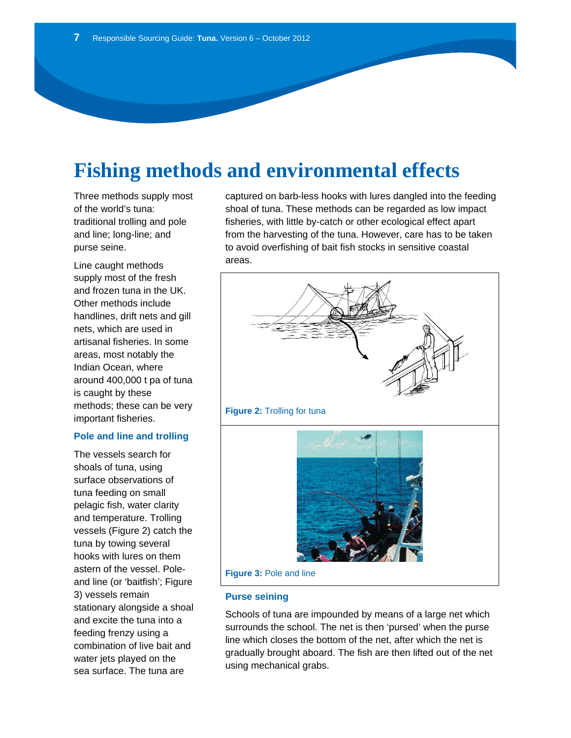# **Fishing methods and environmental effects**

Three methods supply most of the world's tuna: traditional trolling and pole and line; long-line; and purse seine.

Line caught methods supply most of the fresh and frozen tuna in the UK. Other methods include handlines, drift nets and gill nets, which are used in artisanal fisheries. In some areas, most notably the Indian Ocean, where around 400,000 t pa of tuna is caught by these methods; these can be very important fisheries.

#### **Pole and line and trolling**

The vessels search for shoals of tuna, using surface observations of tuna feeding on small pelagic fish, water clarity and temperature. Trolling vessels (Figure 2) catch the tuna by towing several hooks with lures on them astern of the vessel. Poleand line (or 'baitfish'; Figure 3) vessels remain stationary alongside a shoal and excite the tuna into a feeding frenzy using a combination of live bait and water jets played on the sea surface. The tuna are

captured on barb-less hooks with lures dangled into the feeding shoal of tuna. These methods can be regarded as low impact fisheries, with little by-catch or other ecological effect apart from the harvesting of the tuna. However, care has to be taken to avoid overfishing of bait fish stocks in sensitive coastal areas.



### **Purse seining**

Schools of tuna are impounded by means of a large net which surrounds the school. The net is then 'pursed' when the purse line which closes the bottom of the net, after which the net is gradually brought aboard. The fish are then lifted out of the net using mechanical grabs.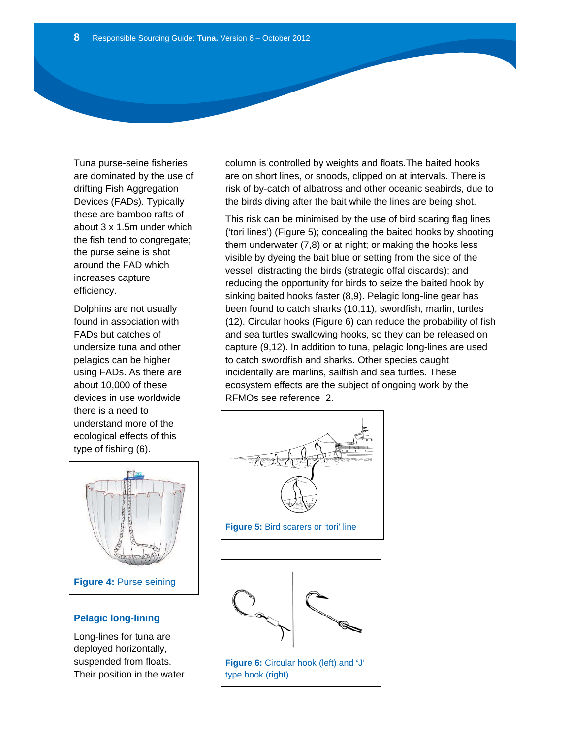Tuna purse-seine fisheries are dominated by the use of drifting Fish Aggregation Devices (FADs). Typically these are bamboo rafts of about 3 x 1.5m under which the fish tend to congregate; the purse seine is shot around the FAD which increases capture efficiency.

Dolphins are not usually found in association with FADs but catches of undersize tuna and other pelagics can be higher using FADs. As there are about 10,000 of these devices in use worldwide there is a need to understand more of the ecological effects of this type of fishing (6).



## **Pelagic long-lining**

Long-lines for tuna are deployed horizontally, suspended from floats. Their position in the water column is controlled by weights and floats.The baited hooks are on short lines, or snoods, clipped on at intervals. There is risk of by-catch of albatross and other oceanic seabirds, due to the birds diving after the bait while the lines are being shot.

This risk can be minimised by the use of bird scaring flag lines ('tori lines') (Figure 5); concealing the baited hooks by shooting them underwater (7,8) or at night; or making the hooks less visible by dyeing the bait blue or setting from the side of the vessel; distracting the birds (strategic offal discards); and reducing the opportunity for birds to seize the baited hook by sinking baited hooks faster (8,9). Pelagic long-line gear has been found to catch sharks (10,11), swordfish, marlin, turtles (12). Circular hooks (Figure 6) can reduce the probability of fish and sea turtles swallowing hooks, so they can be released on capture (9,12). In addition to tuna, pelagic long-lines are used to catch swordfish and sharks. Other species caught incidentally are marlins, sailfish and sea turtles. These ecosystem effects are the subject of ongoing work by the RFMOs see reference 2.



**Figure 5:** Bird scarers or 'tori' line



type hook (right)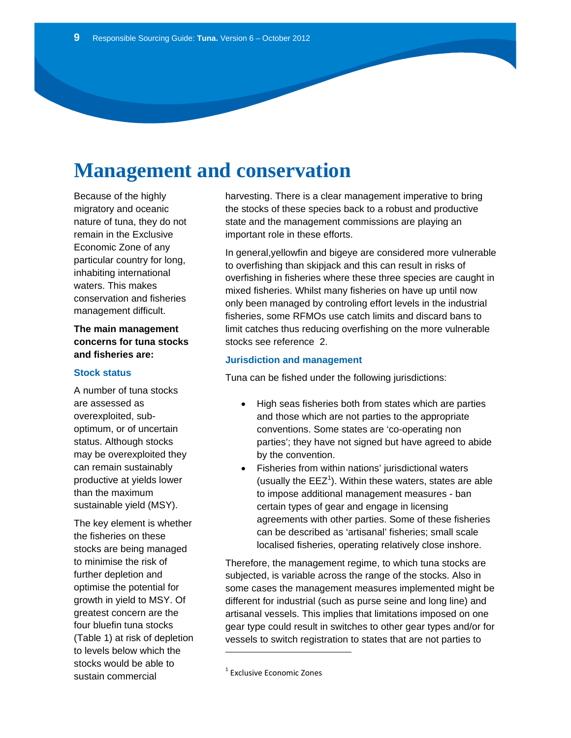# **Management and conservation**

Because of the highly migratory and oceanic nature of tuna, they do not remain in the Exclusive Economic Zone of any particular country for long, inhabiting international waters. This makes conservation and fisheries management difficult.

### **The main management concerns for tuna stocks and fisheries are:**

#### **Stock status**

A number of tuna stocks are assessed as overexploited, suboptimum, or of uncertain status. Although stocks may be overexploited they can remain sustainably productive at yields lower than the maximum sustainable yield (MSY).

The key element is whether the fisheries on these stocks are being managed to minimise the risk of further depletion and optimise the potential for growth in yield to MSY. Of greatest concern are the four bluefin tuna stocks (Table 1) at risk of depletion to levels below which the stocks would be able to sustain commercial

harvesting. There is a clear management imperative to bring the stocks of these species back to a robust and productive state and the management commissions are playing an important role in these efforts.

In general,yellowfin and bigeye are considered more vulnerable to overfishing than skipjack and this can result in risks of overfishing in fisheries where these three species are caught in mixed fisheries. Whilst many fisheries on have up until now only been managed by controling effort levels in the industrial fisheries, some RFMOs use catch limits and discard bans to limit catches thus reducing overfishing on the more vulnerable stocks see reference 2.

#### **Jurisdiction and management**

Tuna can be fished under the following jurisdictions:

- High seas fisheries both from states which are parties and those which are not parties to the appropriate conventions. Some states are 'co-operating non parties'; they have not signed but have agreed to abide by the convention.
- Fisheries from within nations' jurisdictional waters (usually the  $EEZ<sup>1</sup>$ ). Within these waters, states are able to impose additional management measures - ban certain types of gear and engage in licensing agreements with other parties. Some of these fisheries can be described as 'artisanal' fisheries; small scale localised fisheries, operating relatively close inshore.

Therefore, the management regime, to which tuna stocks are subjected, is variable across the range of the stocks. Also in some cases the management measures implemented might be different for industrial (such as purse seine and long line) and artisanal vessels. This implies that limitations imposed on one gear type could result in switches to other gear types and/or for vessels to switch registration to states that are not parties to

<sup>1</sup> Exclusive Economic Zones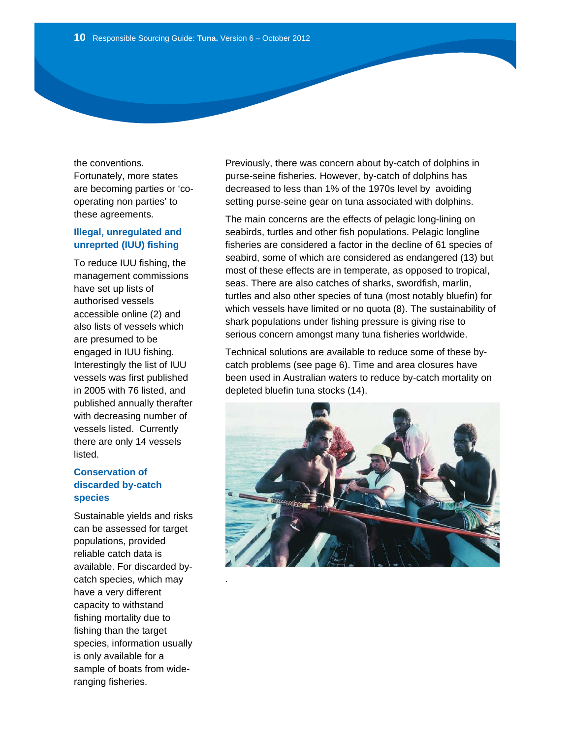the conventions. Fortunately, more states are becoming parties or 'cooperating non parties' to these agreements.

## **Illegal, unregulated and unreprted (IUU) fishing**

To reduce IUU fishing, the management commissions have set up lists of authorised vessels accessible online (2) and also lists of vessels which are presumed to be engaged in IUU fishing. Interestingly the list of IUU vessels was first published in 2005 with 76 listed, and published annually therafter with decreasing number of vessels listed. Currently there are only 14 vessels listed.

## **Conservation of discarded by-catch species**

Sustainable yields and risks can be assessed for target populations, provided reliable catch data is available. For discarded bycatch species, which may have a very different capacity to withstand fishing mortality due to fishing than the target species, information usually is only available for a sample of boats from wideranging fisheries.

.

Previously, there was concern about by-catch of dolphins in purse-seine fisheries. However, by-catch of dolphins has decreased to less than 1% of the 1970s level by avoiding setting purse-seine gear on tuna associated with dolphins.

The main concerns are the effects of pelagic long-lining on seabirds, turtles and other fish populations. Pelagic longline fisheries are considered a factor in the decline of 61 species of seabird, some of which are considered as endangered (13) but most of these effects are in temperate, as opposed to tropical, seas. There are also catches of sharks, swordfish, marlin, turtles and also other species of tuna (most notably bluefin) for which vessels have limited or no quota (8). The sustainability of shark populations under fishing pressure is giving rise to serious concern amongst many tuna fisheries worldwide.

Technical solutions are available to reduce some of these bycatch problems (see page 6). Time and area closures have been used in Australian waters to reduce by-catch mortality on depleted bluefin tuna stocks (14).